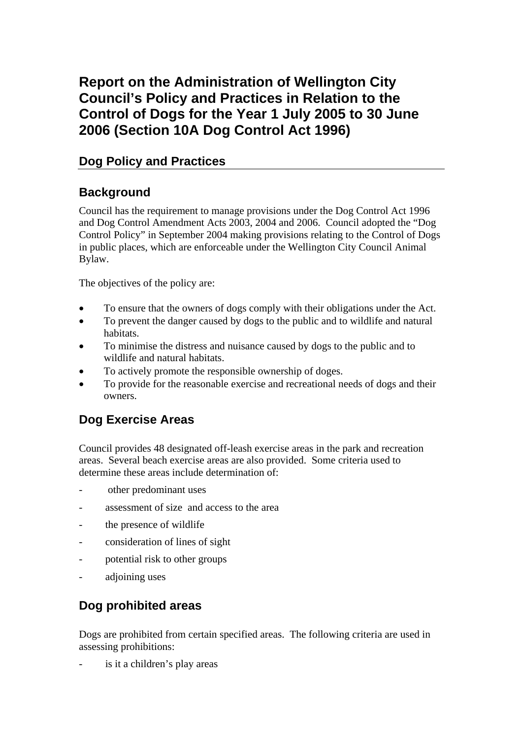# **Report on the Administration of Wellington City Council's Policy and Practices in Relation to the Control of Dogs for the Year 1 July 2005 to 30 June 2006 (Section 10A Dog Control Act 1996)**

## **Dog Policy and Practices**

# **Background**

Council has the requirement to manage provisions under the Dog Control Act 1996 and Dog Control Amendment Acts 2003, 2004 and 2006. Council adopted the "Dog Control Policy" in September 2004 making provisions relating to the Control of Dogs in public places, which are enforceable under the Wellington City Council Animal Bylaw.

The objectives of the policy are:

- To ensure that the owners of dogs comply with their obligations under the Act.
- To prevent the danger caused by dogs to the public and to wildlife and natural habitats.
- To minimise the distress and nuisance caused by dogs to the public and to wildlife and natural habitats.
- To actively promote the responsible ownership of doges.
- To provide for the reasonable exercise and recreational needs of dogs and their owners.

# **Dog Exercise Areas**

Council provides 48 designated off-leash exercise areas in the park and recreation areas. Several beach exercise areas are also provided. Some criteria used to determine these areas include determination of:

- other predominant uses
- assessment of size and access to the area
- the presence of wildlife
- consideration of lines of sight
- potential risk to other groups
- adjoining uses

# **Dog prohibited areas**

Dogs are prohibited from certain specified areas. The following criteria are used in assessing prohibitions:

is it a children's play areas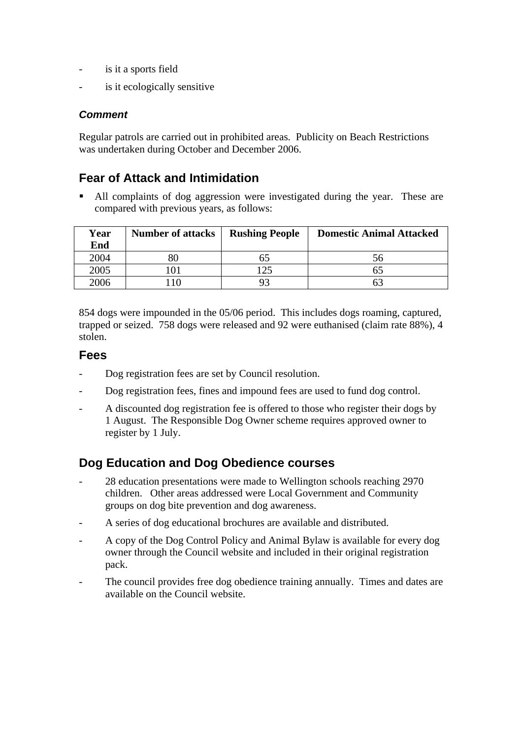- is it a sports field
- is it ecologically sensitive

#### *Comment*

Regular patrols are carried out in prohibited areas. Publicity on Beach Restrictions was undertaken during October and December 2006.

### **Fear of Attack and Intimidation**

 All complaints of dog aggression were investigated during the year. These are compared with previous years, as follows:

| Year<br>End | <b>Number of attacks</b> | <b>Rushing People</b> | <b>Domestic Animal Attacked</b> |
|-------------|--------------------------|-----------------------|---------------------------------|
| 2004        |                          | כס                    | 56                              |
| 2005        |                          | 125                   |                                 |
| 2006        |                          |                       |                                 |

854 dogs were impounded in the 05/06 period. This includes dogs roaming, captured, trapped or seized. 758 dogs were released and 92 were euthanised (claim rate 88%), 4 stolen.

#### **Fees**

- Dog registration fees are set by Council resolution.
- Dog registration fees, fines and impound fees are used to fund dog control.
- A discounted dog registration fee is offered to those who register their dogs by 1 August. The Responsible Dog Owner scheme requires approved owner to register by 1 July.

#### **Dog Education and Dog Obedience courses**

- 28 education presentations were made to Wellington schools reaching 2970 children. Other areas addressed were Local Government and Community groups on dog bite prevention and dog awareness.
- A series of dog educational brochures are available and distributed.
- A copy of the Dog Control Policy and Animal Bylaw is available for every dog owner through the Council website and included in their original registration pack.
- The council provides free dog obedience training annually. Times and dates are available on the Council website.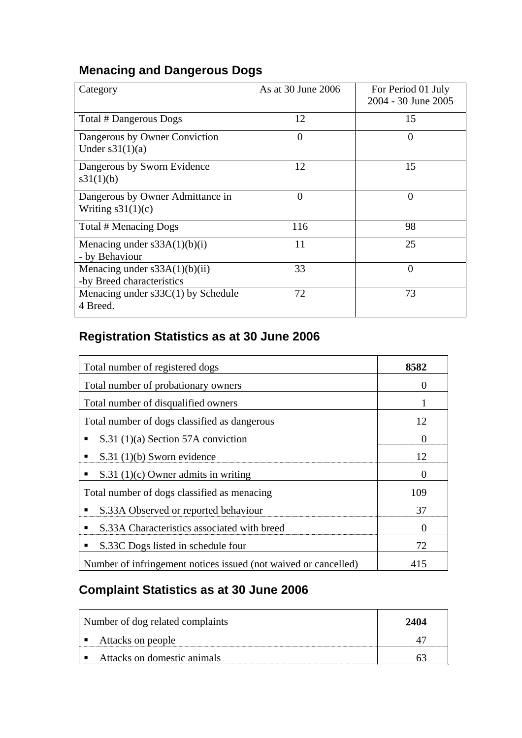# **Menacing and Dangerous Dogs**

| Category                                                     | As at 30 June 2006 | For Period 01 July<br>2004 - 30 June 2005 |
|--------------------------------------------------------------|--------------------|-------------------------------------------|
| Total # Dangerous Dogs                                       | 12                 | 15                                        |
| Dangerous by Owner Conviction<br>Under $s31(1)(a)$           | 0                  | 0                                         |
| Dangerous by Sworn Evidence<br>s31(1)(b)                     | 12                 | 15                                        |
| Dangerous by Owner Admittance in<br>Writing $s31(1)(c)$      | $\Omega$           | $\overline{0}$                            |
| Total # Menacing Dogs                                        | 116                | 98                                        |
| Menacing under $s33A(1)(b)(i)$<br>- by Behaviour             | 11                 | 25                                        |
| Menacing under $s33A(1)(b)(ii)$<br>-by Breed characteristics | 33                 | $\overline{0}$                            |
| Menacing under $s33C(1)$ by Schedule<br>4 Breed.             | 72                 | 73                                        |

# **Registration Statistics as at 30 June 2006**

| Total number of registered dogs                                 | 8582     |
|-----------------------------------------------------------------|----------|
| Total number of probationary owners                             | $\theta$ |
| Total number of disqualified owners                             |          |
| Total number of dogs classified as dangerous                    | 12       |
| S.31 $(1)(a)$ Section 57A conviction<br>п                       | $\theta$ |
| $S.31(1)(b)$ Sworn evidence<br>٠                                | 12       |
| $S.31(1)(c)$ Owner admits in writing<br>٠                       | $\theta$ |
| Total number of dogs classified as menacing                     | 109      |
| S.33A Observed or reported behaviour<br>п                       | 37       |
| S.33A Characteristics associated with breed<br>٠                | $\Omega$ |
| S.33C Dogs listed in schedule four<br>٠                         | 72       |
| Number of infringement notices issued (not waived or cancelled) | 415      |

# **Complaint Statistics as at 30 June 2006**

| Number of dog related complaints | 2404 |
|----------------------------------|------|
| Attacks on people                |      |
| Attacks on domestic animals      |      |